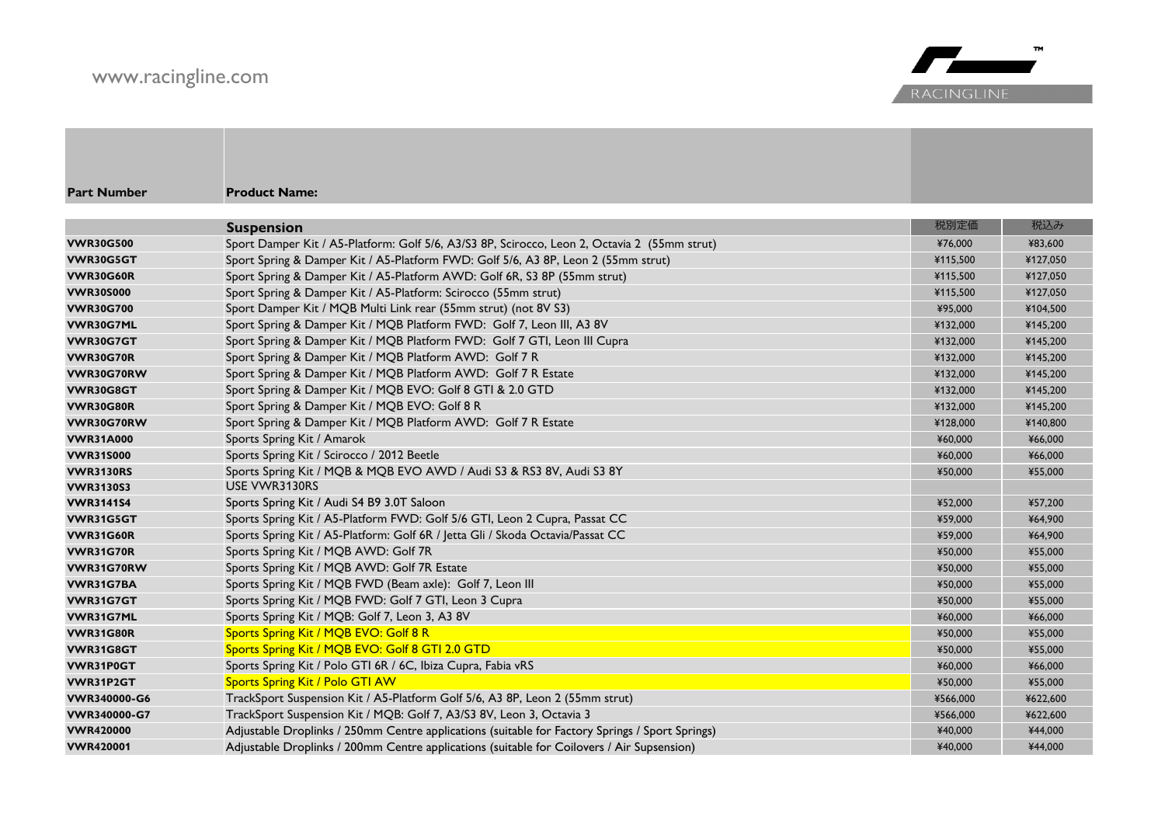## www.racingline.com



| <b>Part Number</b> | <b>Product Name:</b>                                                                            |          |          |
|--------------------|-------------------------------------------------------------------------------------------------|----------|----------|
|                    | <b>Suspension</b>                                                                               | 税別定価     | 税込み      |
| <b>VWR30G500</b>   | Sport Damper Kit / A5-Platform: Golf 5/6, A3/S3 8P, Scirocco, Leon 2, Octavia 2 (55mm strut)    | ¥76,000  | ¥83,600  |
| VWR30G5GT          | Sport Spring & Damper Kit / A5-Platform FWD: Golf 5/6, A3 8P, Leon 2 (55mm strut)               | ¥115,500 | ¥127,050 |
| <b>VWR30G60R</b>   | Sport Spring & Damper Kit / A5-Platform AWD: Golf 6R, S3 8P (55mm strut)                        | ¥115,500 | ¥127,050 |
| <b>VWR30S000</b>   | Sport Spring & Damper Kit / A5-Platform: Scirocco (55mm strut)                                  | ¥115.500 | ¥127,050 |
| <b>VWR30G700</b>   | Sport Damper Kit / MQB Multi Link rear (55mm strut) (not 8V S3)                                 | ¥95,000  | ¥104.500 |
| VWR30G7ML          | Sport Spring & Damper Kit / MQB Platform FWD: Golf 7, Leon III, A3 8V                           | ¥132,000 | ¥145,200 |
| <b>VWR30G7GT</b>   | Sport Spring & Damper Kit / MQB Platform FWD: Golf 7 GTI, Leon III Cupra                        | ¥132,000 | ¥145,200 |
| <b>VWR30G70R</b>   | Sport Spring & Damper Kit / MQB Platform AWD: Golf 7 R                                          | ¥132,000 | ¥145,200 |
| VWR30G70RW         | Sport Spring & Damper Kit / MQB Platform AWD: Golf 7 R Estate                                   | ¥132,000 | ¥145,200 |
| VWR30G8GT          | Sport Spring & Damper Kit / MQB EVO: Golf 8 GTI & 2.0 GTD                                       | ¥132,000 | ¥145,200 |
| <b>VWR30G80R</b>   | Sport Spring & Damper Kit / MQB EVO: Golf 8 R                                                   | ¥132,000 | ¥145,200 |
| VWR30G70RW         | Sport Spring & Damper Kit / MQB Platform AWD: Golf 7 R Estate                                   | ¥128,000 | ¥140,800 |
| <b>VWR31A000</b>   | Sports Spring Kit / Amarok                                                                      | ¥60,000  | ¥66,000  |
| <b>VWR31S000</b>   | Sports Spring Kit / Scirocco / 2012 Beetle                                                      | ¥60,000  | ¥66,000  |
| <b>VWR3130RS</b>   | Sports Spring Kit / MQB & MQB EVO AWD / Audi S3 & RS3 8V, Audi S3 8Y                            | ¥50,000  | ¥55,000  |
| <b>VWR3130S3</b>   | USE VWR3130RS                                                                                   |          |          |
| <b>VWR3141S4</b>   | Sports Spring Kit / Audi S4 B9 3.0T Saloon                                                      | ¥52,000  | ¥57,200  |
| VWR31G5GT          | Sports Spring Kit / A5-Platform FWD: Golf 5/6 GTI, Leon 2 Cupra, Passat CC                      | ¥59,000  | ¥64,900  |
| <b>VWR31G60R</b>   | Sports Spring Kit / A5-Platform: Golf 6R / Jetta Gli / Skoda Octavia/Passat CC                  | ¥59,000  | ¥64,900  |
| <b>VWR31G70R</b>   | Sports Spring Kit / MQB AWD: Golf 7R                                                            | ¥50,000  | ¥55,000  |
| VWR31G70RW         | Sports Spring Kit / MQB AWD: Golf 7R Estate                                                     | ¥50,000  | ¥55,000  |
| VWR31G7BA          | Sports Spring Kit / MQB FWD (Beam axle): Golf 7, Leon III                                       | ¥50,000  | ¥55,000  |
| VWR31G7GT          | Sports Spring Kit / MQB FWD: Golf 7 GTI, Leon 3 Cupra                                           | ¥50,000  | ¥55,000  |
| VWR31G7ML          | Sports Spring Kit / MQB: Golf 7, Leon 3, A3 8V                                                  | ¥60,000  | ¥66,000  |
| <b>VWR31G80R</b>   | Sports Spring Kit / MQB EVO: Golf 8 R                                                           | ¥50,000  | ¥55,000  |
| VWR31G8GT          | Sports Spring Kit / MQB EVO: Golf 8 GTI 2.0 GTD                                                 | ¥50,000  | ¥55,000  |
| VWR31P0GT          | Sports Spring Kit / Polo GTI 6R / 6C, Ibiza Cupra, Fabia vRS                                    | ¥60,000  | ¥66,000  |
| VWR31P2GT          | <b>Sports Spring Kit / Polo GTI AW</b>                                                          | ¥50,000  | ¥55,000  |
| VWR340000-G6       | TrackSport Suspension Kit / A5-Platform Golf 5/6, A3 8P, Leon 2 (55mm strut)                    | ¥566,000 | ¥622,600 |
| VWR340000-G7       | TrackSport Suspension Kit / MQB: Golf 7, A3/S3 8V, Leon 3, Octavia 3                            | ¥566,000 | ¥622,600 |
| <b>VWR420000</b>   | Adjustable Droplinks / 250mm Centre applications (suitable for Factory Springs / Sport Springs) | ¥40,000  | ¥44,000  |
| <b>VWR420001</b>   | Adjustable Droplinks / 200mm Centre applications (suitable for Coilovers / Air Supsension)      | ¥40,000  | ¥44,000  |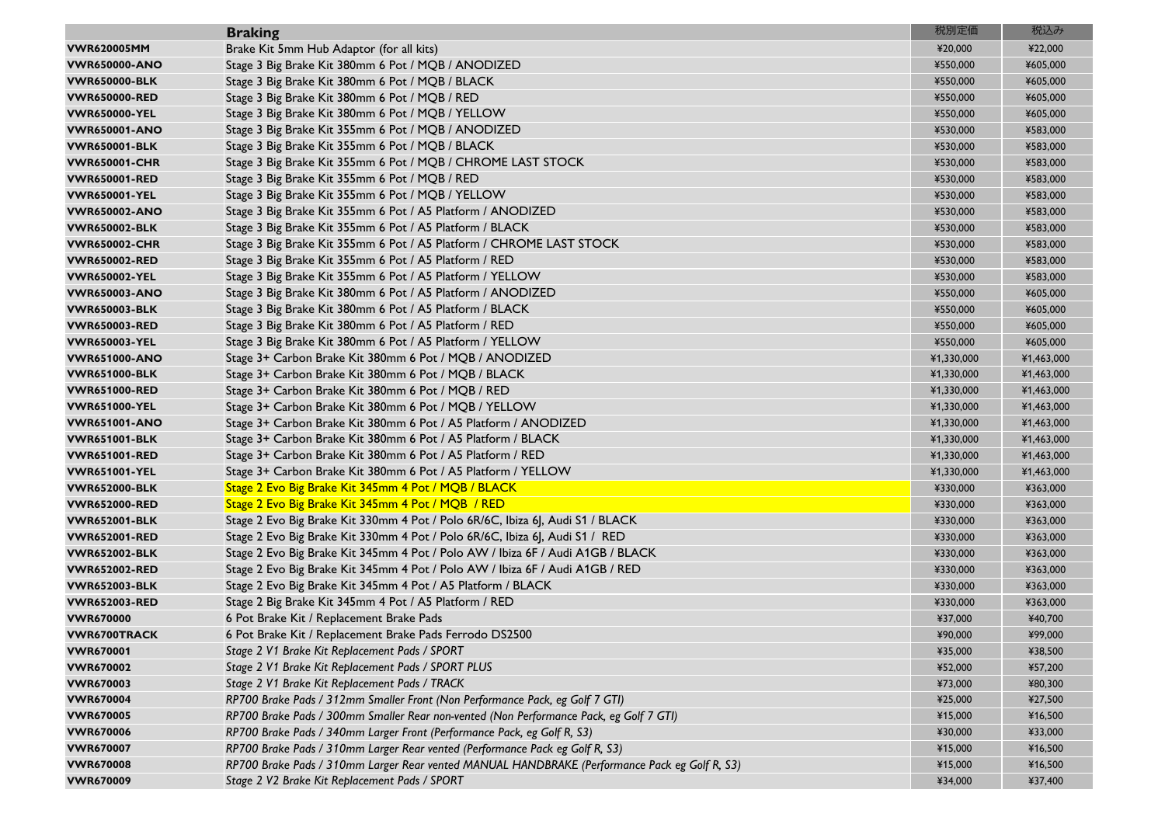|                      | <b>Braking</b>                                                                                | 税別定価       | 税込み        |
|----------------------|-----------------------------------------------------------------------------------------------|------------|------------|
| <b>VWR620005MM</b>   | Brake Kit 5mm Hub Adaptor (for all kits)                                                      | ¥20,000    | ¥22,000    |
| <b>VWR650000-ANO</b> | Stage 3 Big Brake Kit 380mm 6 Pot / MQB / ANODIZED                                            | ¥550,000   | ¥605,000   |
| <b>VWR650000-BLK</b> | Stage 3 Big Brake Kit 380mm 6 Pot / MQB / BLACK                                               | ¥550,000   | ¥605,000   |
| <b>VWR650000-RED</b> | Stage 3 Big Brake Kit 380mm 6 Pot / MQB / RED                                                 | ¥550,000   | ¥605,000   |
| <b>VWR650000-YEL</b> | Stage 3 Big Brake Kit 380mm 6 Pot / MQB / YELLOW                                              | ¥550,000   | ¥605,000   |
| <b>VWR650001-ANO</b> | Stage 3 Big Brake Kit 355mm 6 Pot / MQB / ANODIZED                                            | ¥530,000   | ¥583,000   |
| <b>VWR650001-BLK</b> | Stage 3 Big Brake Kit 355mm 6 Pot / MQB / BLACK                                               | ¥530,000   | ¥583,000   |
| <b>VWR650001-CHR</b> | Stage 3 Big Brake Kit 355mm 6 Pot / MQB / CHROME LAST STOCK                                   | ¥530,000   | ¥583,000   |
| <b>VWR650001-RED</b> | Stage 3 Big Brake Kit 355mm 6 Pot / MQB / RED                                                 | ¥530,000   | ¥583,000   |
| <b>VWR650001-YEL</b> | Stage 3 Big Brake Kit 355mm 6 Pot / MQB / YELLOW                                              | ¥530,000   | ¥583,000   |
| <b>VWR650002-ANO</b> | Stage 3 Big Brake Kit 355mm 6 Pot / A5 Platform / ANODIZED                                    | ¥530,000   | ¥583,000   |
| <b>VWR650002-BLK</b> | Stage 3 Big Brake Kit 355mm 6 Pot / A5 Platform / BLACK                                       | ¥530,000   | ¥583,000   |
| <b>VWR650002-CHR</b> | Stage 3 Big Brake Kit 355mm 6 Pot / A5 Platform / CHROME LAST STOCK                           | ¥530,000   | ¥583,000   |
| <b>VWR650002-RED</b> | Stage 3 Big Brake Kit 355mm 6 Pot / A5 Platform / RED                                         | ¥530,000   | ¥583,000   |
| <b>VWR650002-YEL</b> | Stage 3 Big Brake Kit 355mm 6 Pot / A5 Platform / YELLOW                                      | ¥530,000   | ¥583,000   |
| <b>VWR650003-ANO</b> | Stage 3 Big Brake Kit 380mm 6 Pot / A5 Platform / ANODIZED                                    | ¥550,000   | ¥605,000   |
| <b>VWR650003-BLK</b> | Stage 3 Big Brake Kit 380mm 6 Pot / A5 Platform / BLACK                                       | ¥550,000   | ¥605,000   |
| <b>VWR650003-RED</b> | Stage 3 Big Brake Kit 380mm 6 Pot / A5 Platform / RED                                         | ¥550,000   | ¥605,000   |
| <b>VWR650003-YEL</b> | Stage 3 Big Brake Kit 380mm 6 Pot / A5 Platform / YELLOW                                      | ¥550,000   | ¥605,000   |
| <b>VWR651000-ANO</b> | Stage 3+ Carbon Brake Kit 380mm 6 Pot / MQB / ANODIZED                                        | ¥1,330,000 | ¥1,463,000 |
| <b>VWR651000-BLK</b> | Stage 3+ Carbon Brake Kit 380mm 6 Pot / MQB / BLACK                                           | ¥1,330,000 | ¥1,463,000 |
| <b>VWR651000-RED</b> | Stage 3+ Carbon Brake Kit 380mm 6 Pot / MQB / RED                                             | ¥1,330,000 | ¥1,463,000 |
| <b>VWR651000-YEL</b> | Stage 3+ Carbon Brake Kit 380mm 6 Pot / MQB / YELLOW                                          | ¥1,330,000 | ¥1,463,000 |
| <b>VWR651001-ANO</b> | Stage 3+ Carbon Brake Kit 380mm 6 Pot / A5 Platform / ANODIZED                                | ¥1,330,000 | ¥1,463,000 |
| <b>VWR651001-BLK</b> | Stage 3+ Carbon Brake Kit 380mm 6 Pot / A5 Platform / BLACK                                   | ¥1,330,000 | ¥1,463,000 |
| <b>VWR651001-RED</b> | Stage 3+ Carbon Brake Kit 380mm 6 Pot / A5 Platform / RED                                     | ¥1,330,000 | ¥1,463,000 |
| <b>VWR651001-YEL</b> | Stage 3+ Carbon Brake Kit 380mm 6 Pot / A5 Platform / YELLOW                                  | ¥1,330,000 | ¥1,463,000 |
| <b>VWR652000-BLK</b> | Stage 2 Evo Big Brake Kit 345mm 4 Pot / MQB / BLACK                                           | ¥330,000   | ¥363,000   |
| <b>VWR652000-RED</b> | Stage 2 Evo Big Brake Kit 345mm 4 Pot / MQB / RED                                             | ¥330,000   | ¥363,000   |
| <b>VWR652001-BLK</b> | Stage 2 Evo Big Brake Kit 330mm 4 Pot / Polo 6R/6C, Ibiza 6J, Audi S1 / BLACK                 | ¥330,000   | ¥363,000   |
| <b>VWR652001-RED</b> | Stage 2 Evo Big Brake Kit 330mm 4 Pot / Polo 6R/6C, Ibiza 6J, Audi S1 / RED                   | ¥330,000   | ¥363,000   |
| <b>VWR652002-BLK</b> | Stage 2 Evo Big Brake Kit 345mm 4 Pot / Polo AW / Ibiza 6F / Audi A1GB / BLACK                | ¥330,000   | ¥363,000   |
| <b>VWR652002-RED</b> | Stage 2 Evo Big Brake Kit 345mm 4 Pot / Polo AW / Ibiza 6F / Audi A1GB / RED                  | ¥330,000   | ¥363,000   |
| <b>VWR652003-BLK</b> | Stage 2 Evo Big Brake Kit 345mm 4 Pot / A5 Platform / BLACK                                   | ¥330,000   | ¥363,000   |
| <b>VWR652003-RED</b> | Stage 2 Big Brake Kit 345mm 4 Pot / A5 Platform / RED                                         | ¥330,000   | ¥363,000   |
| <b>VWR670000</b>     | 6 Pot Brake Kit / Replacement Brake Pads                                                      | ¥37,000    | ¥40,700    |
| <b>VWR6700TRACK</b>  | 6 Pot Brake Kit / Replacement Brake Pads Ferrodo DS2500                                       | ¥90,000    | ¥99,000    |
| <b>VWR670001</b>     | Stage 2 V1 Brake Kit Replacement Pads / SPORT                                                 | ¥35,000    | ¥38,500    |
| <b>VWR670002</b>     | Stage 2 V1 Brake Kit Replacement Pads / SPORT PLUS                                            | ¥52,000    | ¥57,200    |
| <b>VWR670003</b>     | Stage 2 V1 Brake Kit Replacement Pads / TRACK                                                 | ¥73,000    | ¥80,300    |
| <b>VWR670004</b>     | RP700 Brake Pads / 312mm Smaller Front (Non Performance Pack, eg Golf 7 GTI)                  | ¥25,000    | ¥27,500    |
| <b>VWR670005</b>     | RP700 Brake Pads / 300mm Smaller Rear non-vented (Non Performance Pack, eg Golf 7 GTI)        | ¥15,000    | ¥16,500    |
| <b>VWR670006</b>     | RP700 Brake Pads / 340mm Larger Front (Performance Pack, eg Golf R, S3)                       | ¥30,000    | ¥33,000    |
| <b>VWR670007</b>     | RP700 Brake Pads / 310mm Larger Rear vented (Performance Pack eg Golf R, S3)                  | ¥15,000    | ¥16,500    |
| <b>VWR670008</b>     | RP700 Brake Pads / 310mm Larger Rear vented MANUAL HANDBRAKE (Performance Pack eg Golf R, S3) | ¥15,000    | ¥16,500    |
| <b>VWR670009</b>     | Stage 2 V2 Brake Kit Replacement Pads / SPORT                                                 | ¥34,000    | ¥37,400    |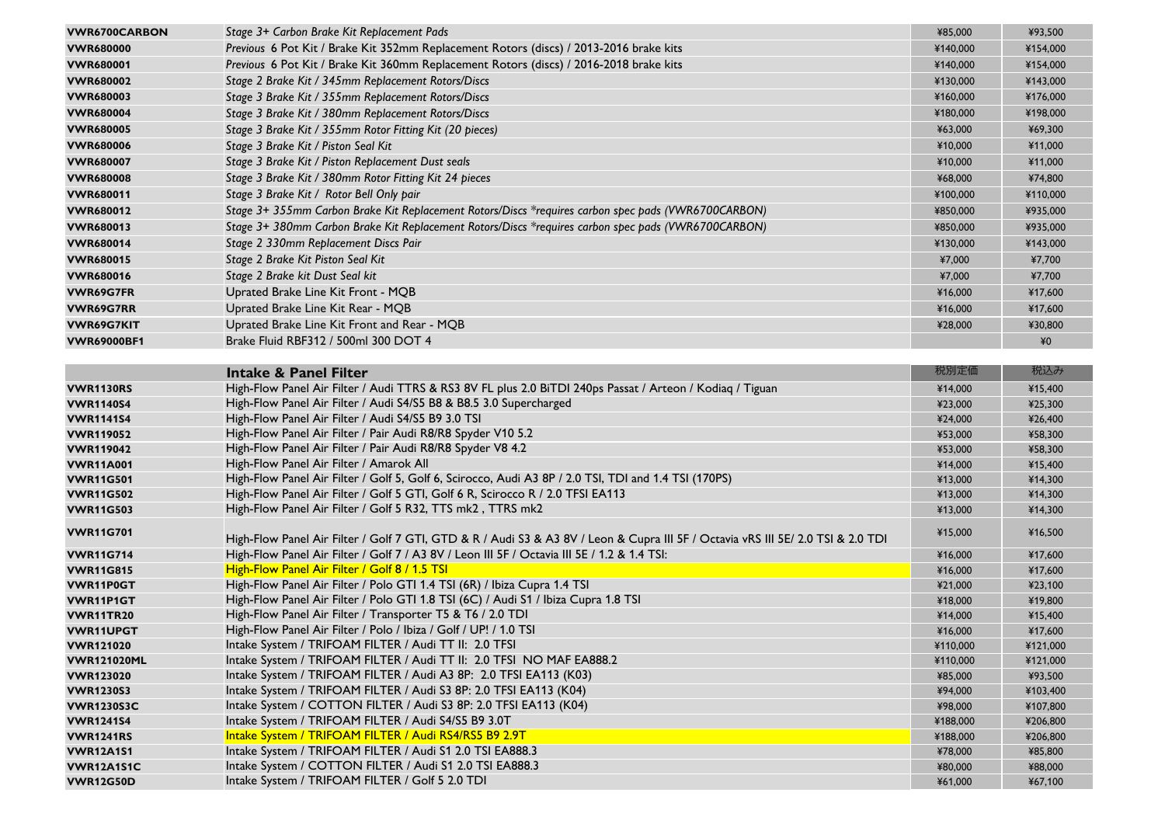| <b>VWR6700CARBON</b> | Stage 3+ Carbon Brake Kit Replacement Pads                                                                                       | ¥85,000  | ¥93,500  |
|----------------------|----------------------------------------------------------------------------------------------------------------------------------|----------|----------|
| <b>VWR680000</b>     | Previous 6 Pot Kit / Brake Kit 352mm Replacement Rotors (discs) / 2013-2016 brake kits                                           | ¥140,000 | ¥154,000 |
| <b>VWR680001</b>     | Previous 6 Pot Kit / Brake Kit 360mm Replacement Rotors (discs) / 2016-2018 brake kits                                           | ¥140,000 | ¥154,000 |
| <b>VWR680002</b>     | Stage 2 Brake Kit / 345mm Replacement Rotors/Discs                                                                               | ¥130,000 | ¥143,000 |
| <b>VWR680003</b>     | Stage 3 Brake Kit / 355mm Replacement Rotors/Discs                                                                               | ¥160,000 | ¥176,000 |
| <b>VWR680004</b>     | Stage 3 Brake Kit / 380mm Replacement Rotors/Discs                                                                               | ¥180,000 | ¥198,000 |
| <b>VWR680005</b>     | Stage 3 Brake Kit / 355mm Rotor Fitting Kit (20 pieces)                                                                          | ¥63,000  | ¥69,300  |
| <b>VWR680006</b>     | Stage 3 Brake Kit / Piston Seal Kit                                                                                              | ¥10,000  | ¥11,000  |
| <b>VWR680007</b>     | Stage 3 Brake Kit / Piston Replacement Dust seals                                                                                | ¥10,000  | ¥11,000  |
| <b>VWR680008</b>     | Stage 3 Brake Kit / 380mm Rotor Fitting Kit 24 pieces                                                                            | ¥68,000  | ¥74,800  |
| <b>VWR680011</b>     | Stage 3 Brake Kit / Rotor Bell Only pair                                                                                         | ¥100,000 | ¥110,000 |
| <b>VWR680012</b>     | Stage 3+ 355mm Carbon Brake Kit Replacement Rotors/Discs *requires carbon spec pads (VWR6700CARBON)                              | ¥850,000 | ¥935,000 |
| <b>VWR680013</b>     | Stage 3+ 380mm Carbon Brake Kit Replacement Rotors/Discs *requires carbon spec pads (VWR6700CARBON)                              |          | ¥935,000 |
|                      |                                                                                                                                  | ¥850,000 |          |
| <b>VWR680014</b>     | Stage 2 330mm Replacement Discs Pair                                                                                             | ¥130,000 | ¥143,000 |
| <b>VWR680015</b>     | Stage 2 Brake Kit Piston Seal Kit                                                                                                | ¥7,000   | ¥7,700   |
| <b>VWR680016</b>     | Stage 2 Brake kit Dust Seal kit                                                                                                  | ¥7,000   | ¥7,700   |
| VWR69G7FR            | Uprated Brake Line Kit Front - MQB                                                                                               | ¥16,000  | ¥17,600  |
| <b>VWR69G7RR</b>     | Uprated Brake Line Kit Rear - MQB                                                                                                | ¥16,000  | ¥17,600  |
| <b>VWR69G7KIT</b>    | Uprated Brake Line Kit Front and Rear - MQB                                                                                      | ¥28,000  | ¥30,800  |
| <b>VWR69000BF1</b>   | Brake Fluid RBF312 / 500ml 300 DOT 4                                                                                             |          | $*0$     |
|                      |                                                                                                                                  |          |          |
|                      | <b>Intake &amp; Panel Filter</b>                                                                                                 | 税別定価     | 税込み      |
| VWR1130RS            | High-Flow Panel Air Filter / Audi TTRS & RS3 8V FL plus 2.0 BiTDI 240ps Passat / Arteon / Kodiaq / Tiguan                        | ¥14,000  | ¥15,400  |
| <b>VWR1140S4</b>     | High-Flow Panel Air Filter / Audi S4/S5 B8 & B8.5 3.0 Supercharged                                                               | ¥23,000  | ¥25,300  |
| <b>VWR1141S4</b>     | High-Flow Panel Air Filter / Audi S4/S5 B9 3.0 TSI                                                                               | ¥24,000  | ¥26,400  |
| <b>VWR119052</b>     | High-Flow Panel Air Filter / Pair Audi R8/R8 Spyder V10 5.2                                                                      | ¥53,000  | ¥58,300  |
| <b>VWR119042</b>     | High-Flow Panel Air Filter / Pair Audi R8/R8 Spyder V8 4.2                                                                       | ¥53,000  | ¥58,300  |
| <b>VWR11A001</b>     | High-Flow Panel Air Filter / Amarok All                                                                                          | ¥14,000  | ¥15,400  |
| <b>VWR11G501</b>     | High-Flow Panel Air Filter / Golf 5, Golf 6, Scirocco, Audi A3 8P / 2.0 TSI, TDI and 1.4 TSI (170PS)                             | ¥13,000  | ¥14,300  |
| <b>VWR11G502</b>     | High-Flow Panel Air Filter / Golf 5 GTI, Golf 6 R, Scirocco R / 2.0 TFSI EA113                                                   | ¥13,000  | ¥14,300  |
| <b>VWR11G503</b>     | High-Flow Panel Air Filter / Golf 5 R32, TTS mk2, TTRS mk2                                                                       | ¥13,000  | ¥14,300  |
| <b>VWR11G701</b>     | High-Flow Panel Air Filter / Golf 7 GTI, GTD & R / Audi S3 & A3 8V / Leon & Cupra III 5F / Octavia vRS III 5E/ 2.0 TSI & 2.0 TDI | ¥15,000  | ¥16,500  |
| <b>VWR11G714</b>     | High-Flow Panel Air Filter / Golf 7 / A3 8V / Leon III 5F / Octavia III 5E / 1.2 & 1.4 TSI:                                      | ¥16,000  | ¥17,600  |
| <b>VWR11G815</b>     | High-Flow Panel Air Filter / Golf 8 / 1.5 TSI                                                                                    | ¥16,000  | ¥17,600  |
| <b>VWR11P0GT</b>     | High-Flow Panel Air Filter / Polo GTI 1.4 TSI (6R) / Ibiza Cupra 1.4 TSI                                                         | ¥21,000  | ¥23,100  |
| <b>VWR11P1GT</b>     | High-Flow Panel Air Filter / Polo GTI 1.8 TSI (6C) / Audi S1 / Ibiza Cupra 1.8 TSI                                               | ¥18,000  | ¥19,800  |
| VWR11TR20            | High-Flow Panel Air Filter / Transporter T5 & T6 / 2.0 TDI                                                                       | ¥14,000  | ¥15,400  |
| <b>VWR11UPGT</b>     | High-Flow Panel Air Filter / Polo / Ibiza / Golf / UP! / 1.0 TSI                                                                 | ¥16,000  | ¥17,600  |
| <b>VWR121020</b>     | Intake System / TRIFOAM FILTER / Audi TT II: 2.0 TFSI                                                                            | ¥110,000 | ¥121,000 |
| <b>VWR121020ML</b>   | Intake System / TRIFOAM FILTER / Audi TT II: 2.0 TFSI NO MAF EA888.2                                                             | ¥110,000 | ¥121,000 |
| <b>VWR123020</b>     | Intake System / TRIFOAM FILTER / Audi A3 8P: 2.0 TFSI EA113 (K03)                                                                | ¥85,000  | ¥93,500  |
| <b>VWR1230S3</b>     | Intake System / TRIFOAM FILTER / Audi S3 8P: 2.0 TFSI EA113 (K04)                                                                | ¥94,000  | ¥103,400 |
| <b>VWR1230S3C</b>    | Intake System / COTTON FILTER / Audi S3 8P: 2.0 TFSI EA113 (K04)                                                                 | ¥98,000  | ¥107,800 |
| <b>VWR1241S4</b>     | Intake System / TRIFOAM FILTER / Audi S4/S5 B9 3.0T                                                                              | ¥188,000 | ¥206,800 |
| <b>VWR1241RS</b>     | Intake System / TRIFOAM FILTER / Audi RS4/RS5 B9 2.9T                                                                            | ¥188,000 | ¥206,800 |
| <b>VWR12A1S1</b>     | Intake System / TRIFOAM FILTER / Audi S1 2.0 TSI EA888.3                                                                         | ¥78,000  | ¥85,800  |
| VWR12A1S1C           | Intake System / COTTON FILTER / Audi S1 2.0 TSI EA888.3                                                                          | ¥80,000  | ¥88,000  |
| <b>VWR12G50D</b>     | Intake System / TRIFOAM FILTER / Golf 5 2.0 TDI                                                                                  | ¥61,000  | ¥67,100  |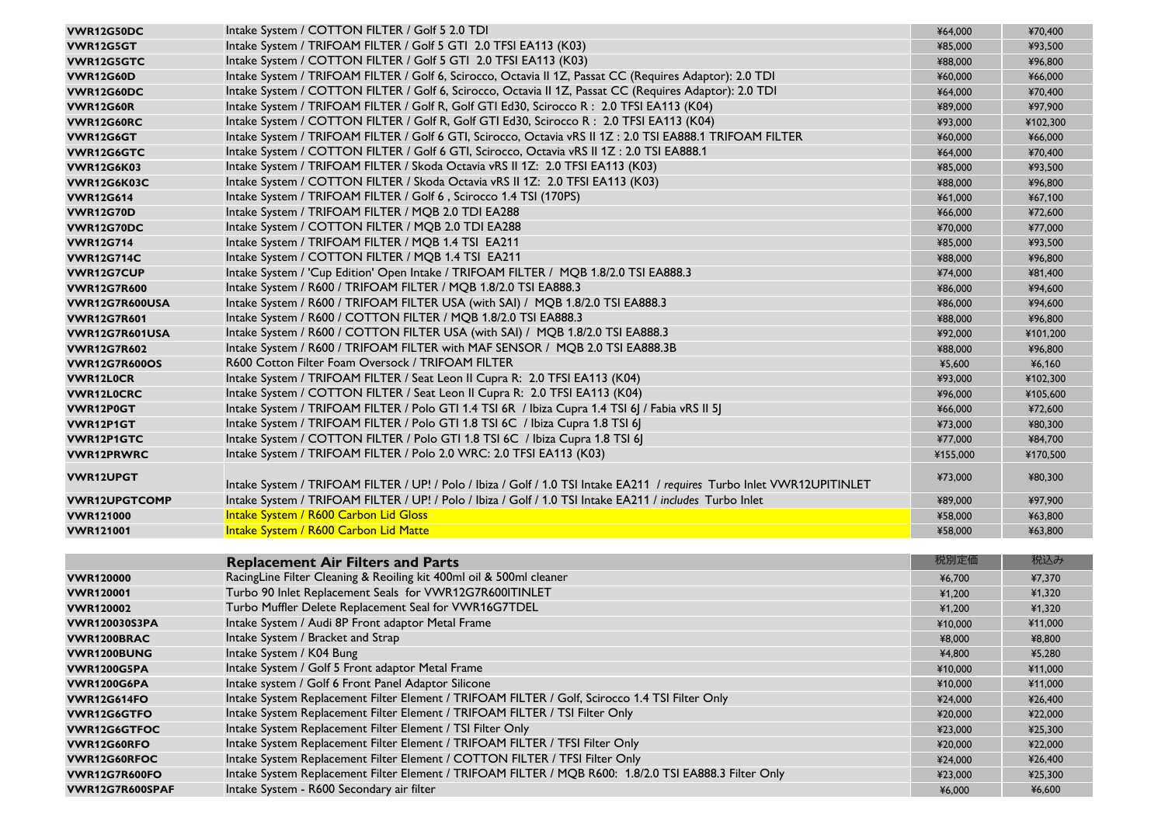| VWR12G50DC           | Intake System / COTTON FILTER / Golf 5 2.0 TDI                                                                          | ¥64,000  | ¥70,400  |
|----------------------|-------------------------------------------------------------------------------------------------------------------------|----------|----------|
| VWR12G5GT            | Intake System / TRIFOAM FILTER / Golf 5 GTI 2.0 TFSI EA113 (K03)                                                        | ¥85,000  | ¥93,500  |
| <b>VWR12G5GTC</b>    | Intake System / COTTON FILTER / Golf 5 GTI 2.0 TFSI EA113 (K03)                                                         | ¥88,000  | ¥96,800  |
| <b>VWR12G60D</b>     | Intake System / TRIFOAM FILTER / Golf 6, Scirocco, Octavia II 1Z, Passat CC (Requires Adaptor): 2.0 TDI                 | ¥60,000  | ¥66,000  |
| <b>VWR12G60DC</b>    | Intake System / COTTON FILTER / Golf 6, Scirocco, Octavia II 1Z, Passat CC (Requires Adaptor): 2.0 TDI                  | ¥64,000  | ¥70,400  |
| <b>VWR12G60R</b>     | Intake System / TRIFOAM FILTER / Golf R, Golf GTI Ed30, Scirocco R: 2.0 TFSI EA113 (K04)                                | ¥89,000  | ¥97,900  |
| <b>VWR12G60RC</b>    | Intake System / COTTON FILTER / Golf R, Golf GTI Ed30, Scirocco R: 2.0 TFSI EA113 (K04)                                 | ¥93,000  | ¥102,300 |
| VWR12G6GT            | Intake System / TRIFOAM FILTER / Golf 6 GTI, Scirocco, Octavia vRS II 1Z: 2.0 TSI EA888.1 TRIFOAM FILTER                | ¥60,000  | ¥66,000  |
| VWR12G6GTC           | Intake System / COTTON FILTER / Golf 6 GTI, Scirocco, Octavia vRS II 1Z: 2.0 TSI EA888.1                                | ¥64,000  | ¥70,400  |
| <b>VWR12G6K03</b>    | Intake System / TRIFOAM FILTER / Skoda Octavia vRS II 1Z: 2.0 TFSI EA113 (K03)                                          | ¥85,000  | ¥93,500  |
| VWR12G6K03C          | Intake System / COTTON FILTER / Skoda Octavia vRS II 1Z: 2.0 TFSI EA113 (K03)                                           | ¥88,000  | ¥96,800  |
| <b>VWR12G614</b>     | Intake System / TRIFOAM FILTER / Golf 6, Scirocco 1.4 TSI (170PS)                                                       | ¥61,000  | ¥67,100  |
| <b>VWR12G70D</b>     | Intake System / TRIFOAM FILTER / MQB 2.0 TDI EA288                                                                      | ¥66,000  | ¥72,600  |
| <b>VWR12G70DC</b>    | Intake System / COTTON FILTER / MQB 2.0 TDI EA288                                                                       | ¥70,000  | ¥77,000  |
| <b>VWR12G714</b>     | Intake System / TRIFOAM FILTER / MQB 1.4 TSI EA211                                                                      | ¥85,000  | ¥93,500  |
| <b>VWR12G714C</b>    | Intake System / COTTON FILTER / MQB 1.4 TSI EA211                                                                       | ¥88,000  | ¥96,800  |
| <b>VWR12G7CUP</b>    | Intake System / 'Cup Edition' Open Intake / TRIFOAM FILTER / MQB 1.8/2.0 TSI EA888.3                                    | ¥74,000  | ¥81,400  |
| <b>VWR12G7R600</b>   | Intake System / R600 / TRIFOAM FILTER / MQB 1.8/2.0 TSI EA888.3                                                         | ¥86,000  | ¥94,600  |
| VWR12G7R600USA       | Intake System / R600 / TRIFOAM FILTER USA (with SAI) / MQB 1.8/2.0 TSI EA888.3                                          | ¥86,000  | ¥94,600  |
| <b>VWR12G7R601</b>   | Intake System / R600 / COTTON FILTER / MQB 1.8/2.0 TSI EA888.3                                                          | ¥88,000  | ¥96,800  |
| VWR12G7R601USA       | Intake System / R600 / COTTON FILTER USA (with SAI) / MQB 1.8/2.0 TSI EA888.3                                           | ¥92,000  | ¥101,200 |
| <b>VWR12G7R602</b>   | Intake System / R600 / TRIFOAM FILTER with MAF SENSOR / MQB 2.0 TSI EA888.3B                                            | ¥88,000  | ¥96,800  |
| <b>VWR12G7R600OS</b> | R600 Cotton Filter Foam Oversock / TRIFOAM FILTER                                                                       | ¥5,600   | ¥6,160   |
| <b>VWR12LOCR</b>     | Intake System / TRIFOAM FILTER / Seat Leon II Cupra R: 2.0 TFSI EA113 (K04)                                             | ¥93,000  | ¥102,300 |
| <b>VWR12L0CRC</b>    | Intake System / COTTON FILTER / Seat Leon II Cupra R: 2.0 TFSI EA113 (K04)                                              | ¥96,000  | ¥105,600 |
| VWR12P0GT            | Intake System / TRIFOAM FILTER / Polo GTI 1.4 TSI 6R / Ibiza Cupra 1.4 TSI 6J / Fabia vRS II 5J                         | ¥66,000  | ¥72,600  |
| VWR12P1GT            | Intake System / TRIFOAM FILTER / Polo GTI 1.8 TSI 6C / Ibiza Cupra 1.8 TSI 6J                                           | ¥73,000  | ¥80,300  |
| <b>VWR12P1GTC</b>    | Intake System / COTTON FILTER / Polo GTI 1.8 TSI 6C / Ibiza Cupra 1.8 TSI 6J                                            | ¥77,000  | ¥84,700  |
| <b>VWR12PRWRC</b>    | Intake System / TRIFOAM FILTER / Polo 2.0 WRC: 2.0 TFSI EA113 (K03)                                                     | ¥155,000 | ¥170,500 |
|                      |                                                                                                                         |          |          |
| <b>VWR12UPGT</b>     | Intake System / TRIFOAM FILTER / UP! / Polo / Ibiza / Golf / 1.0 TSI Intake EA211 / requires Turbo Inlet VWR12UPITINLET | ¥73,000  | ¥80,300  |
| <b>VWR12UPGTCOMP</b> | Intake System / TRIFOAM FILTER / UP! / Polo / Ibiza / Golf / 1.0 TSI Intake EA211 / includes Turbo Inlet                | ¥89,000  | ¥97,900  |
| <b>VWR121000</b>     | Intake System / R600 Carbon Lid Gloss                                                                                   |          | ¥63,800  |
|                      | Intake System / R600 Carbon Lid Matte                                                                                   | ¥58,000  |          |
| <b>VWR121001</b>     |                                                                                                                         | ¥58,000  | ¥63,800  |
|                      |                                                                                                                         |          |          |
|                      | <b>Replacement Air Filters and Parts</b>                                                                                | 税別定価     | 税込み      |
| <b>VWR120000</b>     | RacingLine Filter Cleaning & Reoiling kit 400ml oil & 500ml cleaner                                                     | ¥6,700   | ¥7,370   |
| <b>VWR120001</b>     | Turbo 90 Inlet Replacement Seals for VWR12G7R600ITINLET                                                                 | ¥1,200   | ¥1,320   |
| <b>VWR120002</b>     | Turbo Muffler Delete Replacement Seal for VWR16G7TDEL                                                                   | ¥1,200   | ¥1,320   |
| <b>VWR120030S3PA</b> | Intake System / Audi 8P Front adaptor Metal Frame                                                                       | ¥10,000  | ¥11,000  |
| VWR1200BRAC          | Intake System / Bracket and Strap                                                                                       | ¥8,000   | ¥8,800   |
| VWR1200BUNG          | Intake System / K04 Bung                                                                                                | ¥4,800   | ¥5,280   |
| <b>VWR1200G5PA</b>   | Intake System / Golf 5 Front adaptor Metal Frame                                                                        | ¥10,000  | ¥11,000  |
| <b>VWR1200G6PA</b>   | Intake system / Golf 6 Front Panel Adaptor Silicone                                                                     | ¥10,000  | ¥11,000  |
| <b>VWR12G614FO</b>   | Intake System Replacement Filter Element / TRIFOAM FILTER / Golf, Scirocco 1.4 TSI Filter Only                          | ¥24,000  | ¥26,400  |
| VWR12G6GTFO          | Intake System Replacement Filter Element / TRIFOAM FILTER / TSI Filter Only                                             | ¥20,000  | ¥22,000  |
| <b>VWR12G6GTFOC</b>  | Intake System Replacement Filter Element / TSI Filter Only                                                              | ¥23,000  | ¥25,300  |
| VWR12G60RFO          | Intake System Replacement Filter Element / TRIFOAM FILTER / TFSI Filter Only                                            | ¥20,000  | ¥22,000  |
| VWR12G60RFOC         | Intake System Replacement Filter Element / COTTON FILTER / TFSI Filter Only                                             | ¥24,000  | ¥26,400  |
| <b>VWR12G7R600FO</b> | Intake System Replacement Filter Element / TRIFOAM FILTER / MQB R600: 1.8/2.0 TSI EA888.3 Filter Only                   | ¥23,000  | ¥25,300  |
| VWR12G7R600SPAF      | Intake System - R600 Secondary air filter                                                                               | ¥6,000   | ¥6,600   |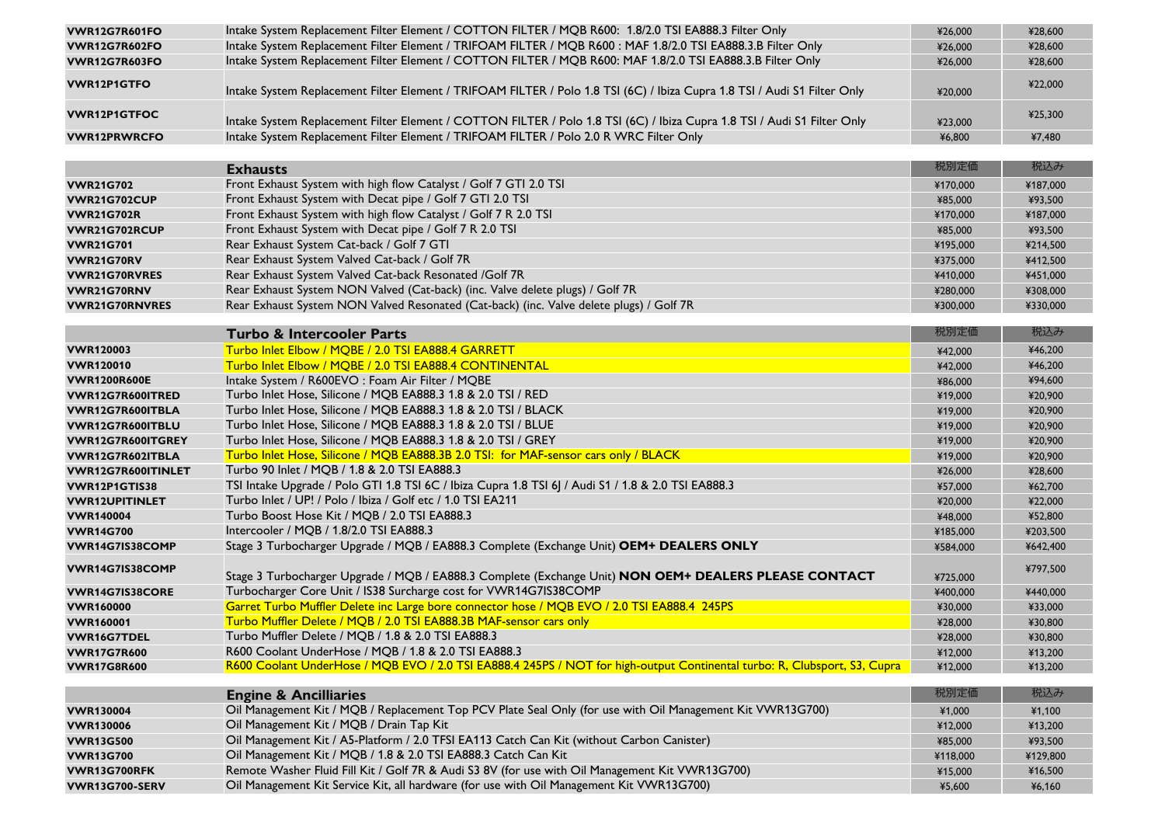| <b>VWR12G7R601FO</b>  | Intake System Replacement Filter Element / COTTON FILTER / MQB R600: 1.8/2.0 TSI EA888.3 Filter Only                      | ¥26,000  | ¥28,600  |
|-----------------------|---------------------------------------------------------------------------------------------------------------------------|----------|----------|
| <b>VWR12G7R602FO</b>  | Intake System Replacement Filter Element / TRIFOAM FILTER / MQB R600: MAF 1.8/2.0 TSI EA888.3.B Filter Only               | ¥26,000  | ¥28,600  |
| <b>VWR12G7R603FO</b>  | Intake System Replacement Filter Element / COTTON FILTER / MQB R600: MAF 1.8/2.0 TSI EA888.3.B Filter Only                | ¥26,000  | ¥28,600  |
| <b>VWR12P1GTFO</b>    | Intake System Replacement Filter Element / TRIFOAM FILTER / Polo 1.8 TSI (6C) / Ibiza Cupra 1.8 TSI / Audi S1 Filter Only | ¥20,000  | ¥22,000  |
| <b>VWR12P1GTFOC</b>   | Intake System Replacement Filter Element / COTTON FILTER / Polo 1.8 TSI (6C) / Ibiza Cupra 1.8 TSI / Audi S1 Filter Only  | ¥23,000  | ¥25,300  |
| <b>VWR12PRWRCFO</b>   | Intake System Replacement Filter Element / TRIFOAM FILTER / Polo 2.0 R WRC Filter Only                                    | ¥6,800   | ¥7,480   |
|                       |                                                                                                                           |          |          |
|                       | <b>Exhausts</b>                                                                                                           | 税別定価     | 税込み      |
| <b>VWR21G702</b>      | Front Exhaust System with high flow Catalyst / Golf 7 GTI 2.0 TSI                                                         | ¥170,000 | ¥187,000 |
| <b>VWR21G702CUP</b>   | Front Exhaust System with Decat pipe / Golf 7 GTI 2.0 TSI                                                                 | ¥85,000  | ¥93,500  |
| <b>VWR21G702R</b>     | Front Exhaust System with high flow Catalyst / Golf 7 R 2.0 TSI                                                           | ¥170,000 | ¥187,000 |
| VWR21G702RCUP         | Front Exhaust System with Decat pipe / Golf 7 R 2.0 TSI                                                                   | ¥85,000  | ¥93,500  |
| <b>VWR21G701</b>      | Rear Exhaust System Cat-back / Golf 7 GTI                                                                                 | ¥195,000 | ¥214,500 |
| <b>VWR21G70RV</b>     | Rear Exhaust System Valved Cat-back / Golf 7R                                                                             | ¥375,000 | ¥412,500 |
| <b>VWR21G70RVRES</b>  | Rear Exhaust System Valved Cat-back Resonated /Golf 7R                                                                    | ¥410,000 | ¥451,000 |
| VWR21G70RNV           | Rear Exhaust System NON Valved (Cat-back) (inc. Valve delete plugs) / Golf 7R                                             | ¥280,000 | ¥308,000 |
| <b>VWR21G70RNVRES</b> | Rear Exhaust System NON Valved Resonated (Cat-back) (inc. Valve delete plugs) / Golf 7R                                   | ¥300,000 | ¥330,000 |
|                       | <b>Turbo &amp; Intercooler Parts</b>                                                                                      | 税別定価     | 税込み      |
| <b>VWR120003</b>      | Turbo Inlet Elbow / MQBE / 2.0 TSI EA888.4 GARRETT                                                                        | ¥42,000  | ¥46,200  |
| <b>VWR120010</b>      | Turbo Inlet Elbow / MQBE / 2.0 TSI EA888.4 CONTINENTAL                                                                    | ¥42,000  | ¥46,200  |
| <b>VWR1200R600E</b>   | Intake System / R600EVO : Foam Air Filter / MQBE                                                                          | ¥86,000  | ¥94,600  |
| VWR12G7R600ITRED      | Turbo Inlet Hose, Silicone / MQB EA888.3 1.8 & 2.0 TSI / RED                                                              | ¥19,000  | ¥20,900  |
| VWR12G7R600ITBLA      | Turbo Inlet Hose, Silicone / MQB EA888.3 1.8 & 2.0 TSI / BLACK                                                            | ¥19,000  | ¥20,900  |
| VWR12G7R600ITBLU      | Turbo Inlet Hose, Silicone / MQB EA888.3 1.8 & 2.0 TSI / BLUE                                                             | ¥19,000  | ¥20,900  |
| VWR12G7R600ITGREY     | Turbo Inlet Hose, Silicone / MQB EA888.3 1.8 & 2.0 TSI / GREY                                                             | ¥19,000  | ¥20,900  |
| VWR12G7R602ITBLA      | Turbo Inlet Hose, Silicone / MQB EA888.3B 2.0 TSI: for MAF-sensor cars only / BLACK                                       | ¥19,000  | ¥20,900  |
| VWR12G7R600ITINLET    | Turbo 90 Inlet / MQB / 1.8 & 2.0 TSI EA888.3                                                                              | ¥26,000  | ¥28,600  |
| VWR12P1GTIS38         | TSI Intake Upgrade / Polo GTI 1.8 TSI 6C / Ibiza Cupra 1.8 TSI 6J / Audi S1 / 1.8 & 2.0 TSI EA888.3                       | ¥57,000  | ¥62,700  |
| <b>VWR12UPITINLET</b> | Turbo Inlet / UP! / Polo / Ibiza / Golf etc / 1.0 TSI EA211                                                               | ¥20,000  | ¥22,000  |
| <b>VWR140004</b>      | Turbo Boost Hose Kit / MQB / 2.0 TSI EA888.3                                                                              | ¥48,000  | ¥52,800  |
| <b>VWR14G700</b>      | Intercooler / MQB / 1.8/2.0 TSI EA888.3                                                                                   | ¥185,000 | ¥203,500 |
| VWR14G7IS38COMP       | Stage 3 Turbocharger Upgrade / MQB / EA888.3 Complete (Exchange Unit) OEM+ DEALERS ONLY                                   | ¥584,000 | ¥642,400 |
|                       |                                                                                                                           |          |          |
| VWR14G7IS38COMP       | Stage 3 Turbocharger Upgrade / MQB / EA888.3 Complete (Exchange Unit) NON OEM+ DEALERS PLEASE CONTACT                     | ¥725,000 | ¥797,500 |
| VWR14G7IS38CORE       | Turbocharger Core Unit / IS38 Surcharge cost for VWR14G7IS38COMP                                                          | ¥400,000 | ¥440,000 |
| <b>VWR160000</b>      | Garret Turbo Muffler Delete inc Large bore connector hose / MQB EVO / 2.0 TSI EA888.4 245PS                               | ¥30,000  | ¥33,000  |
| <b>VWR160001</b>      | Turbo Muffler Delete / MQB / 2.0 TSI EA888.3B MAF-sensor cars only                                                        | ¥28,000  | ¥30,800  |
| <b>VWR16G7TDEL</b>    | Turbo Muffler Delete / MQB / 1.8 & 2.0 TSI EA888.3                                                                        | ¥28,000  | ¥30,800  |
| <b>VWR17G7R600</b>    | R600 Coolant UnderHose / MQB / 1.8 & 2.0 TSI EA888.3                                                                      | ¥12,000  | ¥13,200  |
| <b>VWR17G8R600</b>    | R600 Coolant UnderHose / MQB EVO / 2.0 TSI EA888.4 245PS / NOT for high-output Continental turbo: R, Clubsport, S3, Cupra | ¥12,000  | ¥13,200  |
|                       |                                                                                                                           |          |          |
|                       | <b>Engine &amp; Ancilliaries</b>                                                                                          | 税別定価     | 税込み      |
| <b>VWR130004</b>      | Oil Management Kit / MQB / Replacement Top PCV Plate Seal Only (for use with Oil Management Kit VWR13G700)                | ¥1,000   | ¥1,100   |
| <b>VWR130006</b>      | Oil Management Kit / MQB / Drain Tap Kit                                                                                  | ¥12,000  | ¥13,200  |
| <b>VWR13G500</b>      | Oil Management Kit / A5-Platform / 2.0 TFSI EA113 Catch Can Kit (without Carbon Canister)                                 | ¥85,000  | ¥93,500  |
| <b>VWR13G700</b>      | Oil Management Kit / MQB / 1.8 & 2.0 TSI EA888.3 Catch Can Kit                                                            | ¥118,000 | ¥129,800 |
| VWR13G700RFK          | Remote Washer Fluid Fill Kit / Golf 7R & Audi S3 8V (for use with Oil Management Kit VWR13G700)                           | ¥15,000  | ¥16,500  |
| VWR13G700-SERV        | Oil Management Kit Service Kit, all hardware (for use with Oil Management Kit VWR13G700)                                  | ¥5,600   | ¥6,160   |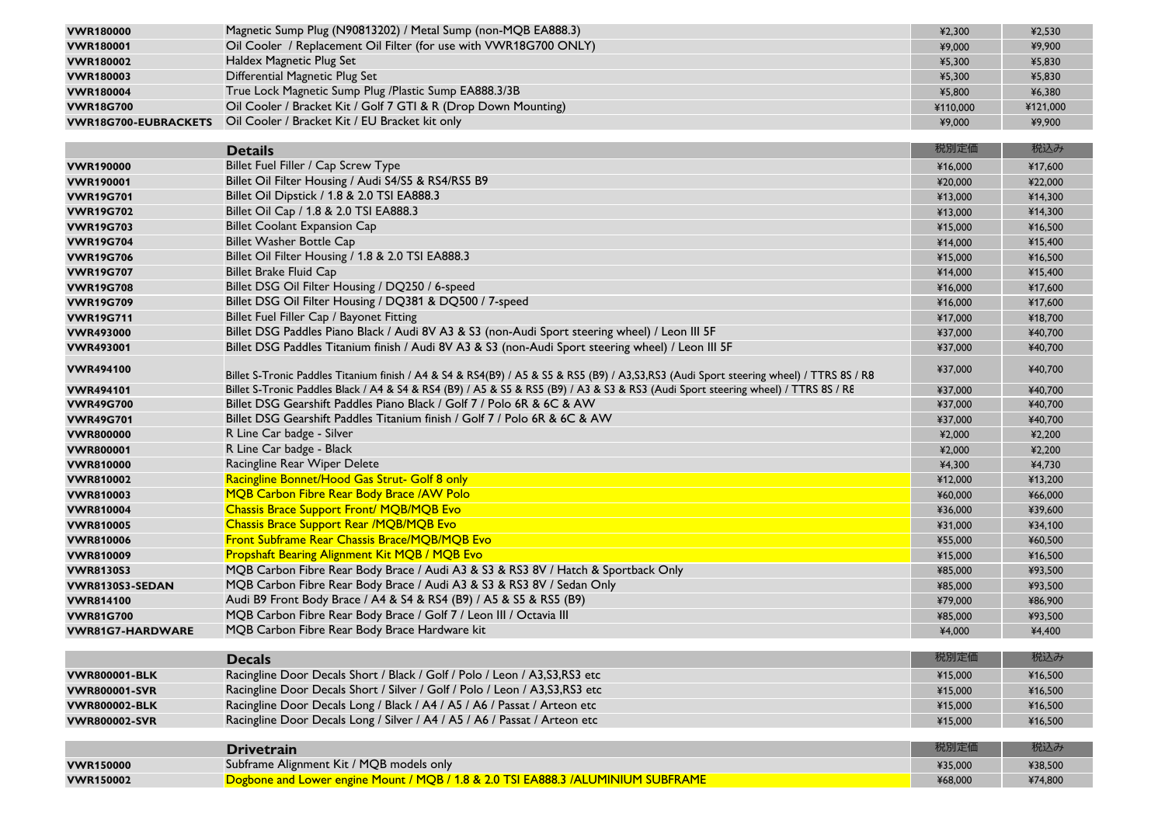| <b>VWR180000</b>            | Magnetic Sump Plug (N90813202) / Metal Sump (non-MQB EA888.3)                                                                             | ¥2,300   | ¥2,530   |
|-----------------------------|-------------------------------------------------------------------------------------------------------------------------------------------|----------|----------|
| <b>VWR180001</b>            | Oil Cooler / Replacement Oil Filter (for use with VWR18G700 ONLY)                                                                         | ¥9,000   | ¥9,900   |
| <b>VWR180002</b>            | Haldex Magnetic Plug Set                                                                                                                  | ¥5,300   | ¥5,830   |
| <b>VWR180003</b>            | <b>Differential Magnetic Plug Set</b>                                                                                                     | ¥5,300   | ¥5,830   |
| <b>VWR180004</b>            | True Lock Magnetic Sump Plug /Plastic Sump EA888.3/3B                                                                                     | ¥5,800   | ¥6,380   |
| <b>VWR18G700</b>            | Oil Cooler / Bracket Kit / Golf 7 GTI & R (Drop Down Mounting)                                                                            | ¥110,000 | ¥121,000 |
| <b>VWR18G700-EUBRACKETS</b> | Oil Cooler / Bracket Kit / EU Bracket kit only                                                                                            | ¥9,000   | ¥9,900   |
|                             |                                                                                                                                           |          | 税込み      |
|                             | <b>Details</b>                                                                                                                            | 税別定価     |          |
| <b>VWR190000</b>            | Billet Fuel Filler / Cap Screw Type                                                                                                       | ¥16,000  | ¥17,600  |
| <b>VWR190001</b>            | Billet Oil Filter Housing / Audi S4/S5 & RS4/RS5 B9                                                                                       | ¥20,000  | ¥22,000  |
| <b>VWR19G701</b>            | Billet Oil Dipstick / 1.8 & 2.0 TSI EA888.3                                                                                               | ¥13,000  | ¥14,300  |
| <b>VWR19G702</b>            | Billet Oil Cap / 1.8 & 2.0 TSI EA888.3                                                                                                    | ¥13,000  | ¥14,300  |
| <b>VWR19G703</b>            | <b>Billet Coolant Expansion Cap</b>                                                                                                       | ¥15,000  | ¥16,500  |
| <b>VWR19G704</b>            | <b>Billet Washer Bottle Cap</b>                                                                                                           | ¥14,000  | ¥15,400  |
| <b>VWR19G706</b>            | Billet Oil Filter Housing / 1.8 & 2.0 TSI EA888.3                                                                                         | ¥15,000  | ¥16,500  |
| <b>VWR19G707</b>            | <b>Billet Brake Fluid Cap</b>                                                                                                             | ¥14,000  | ¥15,400  |
| <b>VWR19G708</b>            | Billet DSG Oil Filter Housing / DQ250 / 6-speed                                                                                           | ¥16,000  | ¥17,600  |
| <b>VWR19G709</b>            | Billet DSG Oil Filter Housing / DQ381 & DQ500 / 7-speed                                                                                   | ¥16,000  | ¥17,600  |
| <b>VWR19G711</b>            | Billet Fuel Filler Cap / Bayonet Fitting                                                                                                  | ¥17,000  | ¥18,700  |
| <b>VWR493000</b>            | Billet DSG Paddles Piano Black / Audi 8V A3 & S3 (non-Audi Sport steering wheel) / Leon III 5F                                            | ¥37,000  | ¥40,700  |
| <b>VWR493001</b>            | Billet DSG Paddles Titanium finish / Audi 8V A3 & S3 (non-Audi Sport steering wheel) / Leon III 5F                                        | ¥37,000  | ¥40,700  |
| <b>VWR494100</b>            | Billet S-Tronic Paddles Titanium finish / A4 & S4 & RS4(B9) / A5 & S5 & RS5 (B9) / A3, S3, RS3 (Audi Sport steering wheel) / TTRS 8S / R8 | ¥37,000  | ¥40,700  |
| <b>VWR494101</b>            | Billet S-Tronic Paddles Black / A4 & S4 & RS4 (B9) / A5 & S5 & RS5 (B9) / A3 & S3 & RS3 (Audi Sport steering wheel) / TTRS 8S / RE        | ¥37,000  | ¥40,700  |
| <b>VWR49G700</b>            | Billet DSG Gearshift Paddles Piano Black / Golf 7 / Polo 6R & 6C & AW                                                                     | ¥37,000  | ¥40,700  |
| <b>VWR49G701</b>            | Billet DSG Gearshift Paddles Titanium finish / Golf 7 / Polo 6R & 6C & AW                                                                 | ¥37,000  | ¥40,700  |
| <b>VWR800000</b>            | R Line Car badge - Silver                                                                                                                 | ¥2,000   | ¥2,200   |
| <b>VWR800001</b>            | R Line Car badge - Black                                                                                                                  | ¥2,000   | ¥2,200   |
| <b>VWR810000</b>            | Racingline Rear Wiper Delete                                                                                                              | ¥4,300   | ¥4,730   |
| <b>VWR810002</b>            | Racingline Bonnet/Hood Gas Strut- Golf 8 only                                                                                             | ¥12,000  | ¥13,200  |
| <b>VWR810003</b>            | MQB Carbon Fibre Rear Body Brace / AW Polo                                                                                                | ¥60,000  | ¥66,000  |
| <b>VWR810004</b>            | <b>Chassis Brace Support Front/ MQB/MQB Evo</b>                                                                                           | ¥36,000  | ¥39,600  |
| <b>VWR810005</b>            | <b>Chassis Brace Support Rear /MQB/MQB Evo</b>                                                                                            | ¥31,000  | ¥34,100  |
| <b>VWR810006</b>            | Front Subframe Rear Chassis Brace/MQB/MQB Evo                                                                                             | ¥55,000  | ¥60,500  |
| <b>VWR810009</b>            | <b>Propshaft Bearing Alignment Kit MQB / MQB Evo</b>                                                                                      | ¥15,000  | ¥16,500  |
| <b>VWR8130S3</b>            | MQB Carbon Fibre Rear Body Brace / Audi A3 & S3 & RS3 8V / Hatch & Sportback Only                                                         | ¥85,000  | ¥93,500  |
| VWR8130S3-SEDAN             | MQB Carbon Fibre Rear Body Brace / Audi A3 & S3 & RS3 8V / Sedan Only                                                                     | ¥85,000  | ¥93,500  |
| <b>VWR814100</b>            | Audi B9 Front Body Brace / A4 & S4 & RS4 (B9) / A5 & S5 & RS5 (B9)                                                                        | ¥79,000  | ¥86,900  |
| <b>VWR81G700</b>            | MQB Carbon Fibre Rear Body Brace / Golf 7 / Leon III / Octavia III                                                                        | ¥85,000  | ¥93,500  |
| <b>VWR81G7-HARDWARE</b>     | MQB Carbon Fibre Rear Body Brace Hardware kit                                                                                             | ¥4,000   | ¥4,400   |
|                             |                                                                                                                                           |          |          |
|                             | <b>Decals</b>                                                                                                                             | 税別定価     | 税込み      |
| <b>VWR800001-BLK</b>        | Racingline Door Decals Short / Black / Golf / Polo / Leon / A3, S3, RS3 etc                                                               | ¥15,000  | ¥16,500  |
| <b>VWR800001-SVR</b>        | Racingline Door Decals Short / Silver / Golf / Polo / Leon / A3, S3, RS3 etc                                                              | ¥15,000  | ¥16,500  |
| <b>VWR800002-BLK</b>        | Racingline Door Decals Long / Black / A4 / A5 / A6 / Passat / Arteon etc                                                                  | ¥15,000  | ¥16,500  |
| <b>VWR800002-SVR</b>        | Racingline Door Decals Long / Silver / A4 / A5 / A6 / Passat / Arteon etc                                                                 | ¥15,000  | ¥16,500  |
|                             |                                                                                                                                           |          |          |
|                             | <b>Drivetrain</b>                                                                                                                         | 税別定価     | 税込み      |
| <b>VWR150000</b>            | Subframe Alignment Kit / MQB models only                                                                                                  | ¥35,000  | ¥38,500  |
| <b>VWR150002</b>            | Dogbone and Lower engine Mount / MQB / 1.8 & 2.0 TSI EA888.3 /ALUMINIUM SUBFRAME                                                          | ¥68,000  | ¥74,800  |
|                             |                                                                                                                                           |          |          |